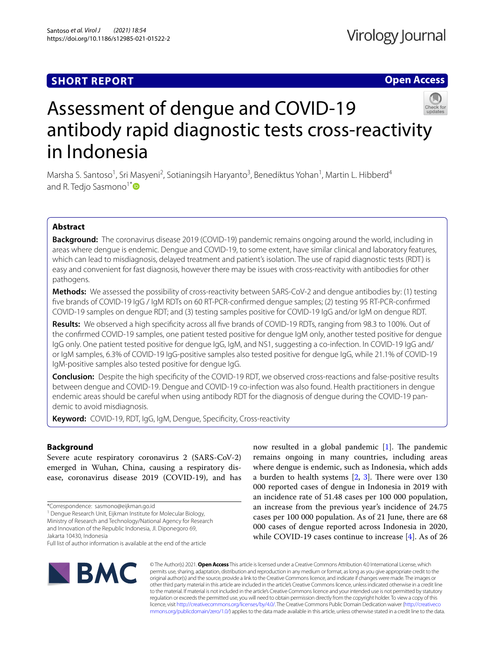## **SHORT REPORT**

## **Open Access**



# Assessment of dengue and COVID-19 antibody rapid diagnostic tests cross-reactivity in Indonesia

Marsha S. Santoso<sup>1</sup>, Sri Masyeni<sup>2</sup>, Sotianingsih Haryanto<sup>3</sup>, Benediktus Yohan<sup>1</sup>, Martin L. Hibberd<sup>4</sup> and R. Tedjo Sasmono<sup>1[\\*](http://orcid.org/0000-0003-0986-2590)</sup>

## **Abstract**

**Background:** The coronavirus disease 2019 (COVID-19) pandemic remains ongoing around the world, including in areas where dengue is endemic. Dengue and COVID-19, to some extent, have similar clinical and laboratory features, which can lead to misdiagnosis, delayed treatment and patient's isolation. The use of rapid diagnostic tests (RDT) is easy and convenient for fast diagnosis, however there may be issues with cross-reactivity with antibodies for other pathogens.

**Methods:** We assessed the possibility of cross-reactivity between SARS-CoV-2 and dengue antibodies by: (1) testing fve brands of COVID-19 IgG / IgM RDTs on 60 RT-PCR-confrmed dengue samples; (2) testing 95 RT-PCR-confrmed COVID-19 samples on dengue RDT; and (3) testing samples positive for COVID-19 IgG and/or IgM on dengue RDT.

**Results:** We observed a high specifcity across all fve brands of COVID-19 RDTs, ranging from 98.3 to 100%. Out of the confrmed COVID-19 samples, one patient tested positive for dengue IgM only, another tested positive for dengue IgG only. One patient tested positive for dengue IgG, IgM, and NS1, suggesting a co-infection. In COVID-19 IgG and/ or IgM samples, 6.3% of COVID-19 IgG-positive samples also tested positive for dengue IgG, while 21.1% of COVID-19 IgM-positive samples also tested positive for dengue IgG.

**Conclusion:** Despite the high specifcity of the COVID-19 RDT, we observed cross-reactions and false-positive results between dengue and COVID-19. Dengue and COVID-19 co-infection was also found. Health practitioners in dengue endemic areas should be careful when using antibody RDT for the diagnosis of dengue during the COVID-19 pandemic to avoid misdiagnosis.

**Keyword:** COVID-19, RDT, IgG, IgM, Dengue, Specifcity, Cross-reactivity

## **Background**

Severe acute respiratory coronavirus 2 (SARS-CoV-2) emerged in Wuhan, China, causing a respiratory disease, coronavirus disease 2019 (COVID-19), and has

<sup>1</sup> Dengue Research Unit, Eijkman Institute for Molecular Biology,

Ministry of Research and Technology/National Agency for Research and Innovation of the Republic Indonesia, Jl. Diponegoro 69,

Jakarta 10430, Indonesia

Full list of author information is available at the end of the article

now resulted in a global pandemic  $[1]$  $[1]$ . The pandemic remains ongoing in many countries, including areas where dengue is endemic, such as Indonesia, which adds a burden to health systems  $[2, 3]$  $[2, 3]$  $[2, 3]$  $[2, 3]$ . There were over 130 000 reported cases of dengue in Indonesia in 2019 with an incidence rate of 51.48 cases per 100 000 population, an increase from the previous year's incidence of 24.75 cases per 100 000 population. As of 21 June, there are 68 000 cases of dengue reported across Indonesia in 2020, while COVID-19 cases continue to increase [\[4](#page-4-3)]. As of 26



© The Author(s) 2021. **Open Access** This article is licensed under a Creative Commons Attribution 4.0 International License, which permits use, sharing, adaptation, distribution and reproduction in any medium or format, as long as you give appropriate credit to the original author(s) and the source, provide a link to the Creative Commons licence, and indicate if changes were made. The images or other third party material in this article are included in the article's Creative Commons licence, unless indicated otherwise in a credit line to the material. If material is not included in the article's Creative Commons licence and your intended use is not permitted by statutory regulation or exceeds the permitted use, you will need to obtain permission directly from the copyright holder. To view a copy of this licence, visit [http://creativecommons.org/licenses/by/4.0/.](http://creativecommons.org/licenses/by/4.0/) The Creative Commons Public Domain Dedication waiver ([http://creativeco](http://creativecommons.org/publicdomain/zero/1.0/) [mmons.org/publicdomain/zero/1.0/](http://creativecommons.org/publicdomain/zero/1.0/)) applies to the data made available in this article, unless otherwise stated in a credit line to the data.

<sup>\*</sup>Correspondence: sasmono@eijkman.go.id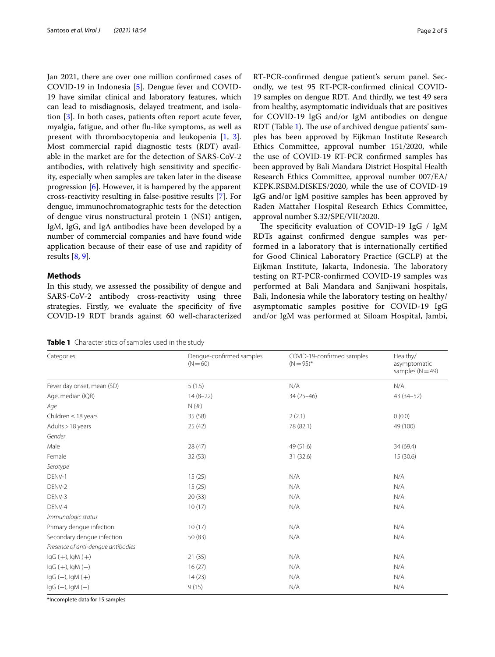Jan 2021, there are over one million confrmed cases of COVID-19 in Indonesia [[5\]](#page-4-4). Dengue fever and COVID-19 have similar clinical and laboratory features, which can lead to misdiagnosis, delayed treatment, and isolation [[3](#page-4-2)]. In both cases, patients often report acute fever, myalgia, fatigue, and other fu-like symptoms, as well as present with thrombocytopenia and leukopenia [\[1](#page-4-0), [3](#page-4-2)]. Most commercial rapid diagnostic tests (RDT) available in the market are for the detection of SARS-CoV-2 antibodies, with relatively high sensitivity and specifcity, especially when samples are taken later in the disease progression [[6](#page-4-5)]. However, it is hampered by the apparent cross-reactivity resulting in false-positive results [\[7](#page-4-6)]. For dengue, immunochromatographic tests for the detection of dengue virus nonstructural protein 1 (NS1) antigen, IgM, IgG, and IgA antibodies have been developed by a number of commercial companies and have found wide application because of their ease of use and rapidity of results [\[8](#page-4-7), [9\]](#page-4-8).

## **Methods**

In this study, we assessed the possibility of dengue and SARS-CoV-2 antibody cross-reactivity using three strategies. Firstly, we evaluate the specifcity of fve COVID-19 RDT brands against 60 well-characterized RT-PCR-confrmed dengue patient's serum panel. Secondly, we test 95 RT-PCR-confrmed clinical COVID-19 samples on dengue RDT. And thirdly, we test 49 sera from healthy, asymptomatic individuals that are positives for COVID-19 IgG and/or IgM antibodies on dengue RDT (Table [1\)](#page-1-0). The use of archived dengue patients' samples has been approved by Eijkman Institute Research Ethics Committee, approval number 151/2020, while the use of COVID-19 RT-PCR confrmed samples has been approved by Bali Mandara District Hospital Health Research Ethics Committee, approval number 007/EA/ KEPK.RSBM.DISKES/2020, while the use of COVID-19 IgG and/or IgM positive samples has been approved by Raden Mattaher Hospital Research Ethics Committee, approval number S.32/SPE/VII/2020.

The specificity evaluation of COVID-19 IgG / IgM RDTs against confrmed dengue samples was performed in a laboratory that is internationally certifed for Good Clinical Laboratory Practice (GCLP) at the Eijkman Institute, Jakarta, Indonesia. The laboratory testing on RT-PCR-confrmed COVID-19 samples was performed at Bali Mandara and Sanjiwani hospitals, Bali, Indonesia while the laboratory testing on healthy/ asymptomatic samples positive for COVID-19 IgG and/or IgM was performed at Siloam Hospital, Jambi,

<span id="page-1-0"></span>**Table 1** Characteristics of samples used in the study

| Categories                         | Dengue-confirmed samples<br>$(N = 60)$ | COVID-19-confirmed samples<br>$(N = 95)^*$ | Healthy/<br>asymptomatic<br>samples $(N = 49)$<br>N/A |  |
|------------------------------------|----------------------------------------|--------------------------------------------|-------------------------------------------------------|--|
| Fever day onset, mean (SD)         | 5(1.5)                                 | N/A                                        |                                                       |  |
| Age, median (IQR)                  | $14(8-22)$                             | $34(25 - 46)$                              |                                                       |  |
| Age                                | N(%                                    |                                            |                                                       |  |
| Children $\leq$ 18 years           | 35 (58)                                | 2(2.1)                                     |                                                       |  |
| Adults > 18 years                  | 25 (42)                                | 78 (82.1)                                  | 49 (100)                                              |  |
| Gender                             |                                        |                                            |                                                       |  |
| Male                               | 28 (47)                                | 49 (51.6)                                  |                                                       |  |
| Female                             | 32(53)                                 | 31 (32.6)                                  | 15 (30.6)                                             |  |
| Serotype                           |                                        |                                            |                                                       |  |
| DENV-1                             | 15(25)                                 | N/A                                        | N/A                                                   |  |
| DENV-2                             | 15(25)                                 | N/A                                        | N/A                                                   |  |
| DENV-3                             | 20(33)                                 | N/A                                        | N/A                                                   |  |
| DENV-4                             | 10(17)                                 | N/A                                        | N/A                                                   |  |
| Immunologic status                 |                                        |                                            |                                                       |  |
| Primary dengue infection           | 10(17)                                 | N/A                                        | N/A                                                   |  |
| Secondary dengue infection         | 50(83)                                 | N/A                                        | N/A                                                   |  |
| Presence of anti-dengue antibodies |                                        |                                            |                                                       |  |
| $lgG (+)$ , $lgM (+)$              | 21(35)                                 | N/A                                        | N/A                                                   |  |
| $lgG (+)$ , $lgM (-)$              | 16(27)                                 | N/A                                        | N/A                                                   |  |
| $lgG(-)$ , $lgM(+)$                | 14(23)                                 | N/A                                        | N/A                                                   |  |
| $lgG(-)$ , $lgM(-)$                | 9(15)                                  | N/A                                        | N/A                                                   |  |

\*Incomplete data for 15 samples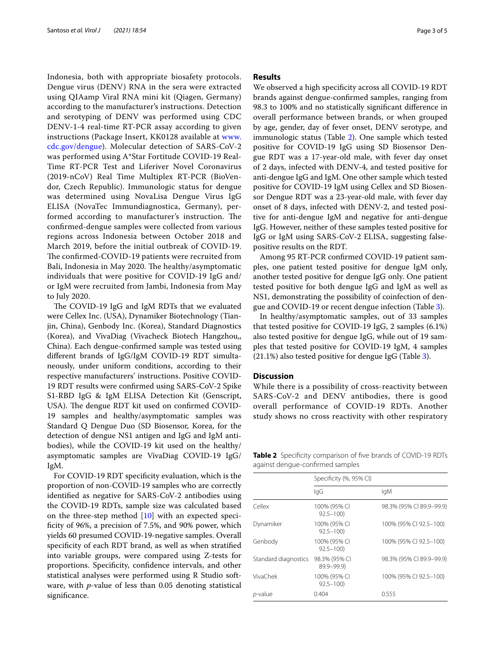Indonesia, both with appropriate biosafety protocols. Dengue virus (DENV) RNA in the sera were extracted using QIAamp Viral RNA mini kit (Qiagen, Germany) according to the manufacturer's instructions. Detection and serotyping of DENV was performed using CDC DENV-1-4 real-time RT-PCR assay according to given instructions (Package Insert, KK0128 available at [www.](http://www.cdc.gov/dengue) [cdc.gov/dengue\)](http://www.cdc.gov/dengue). Molecular detection of SARS-CoV-2 was performed using A\*Star Fortitude COVID-19 Real-Time RT-PCR Test and Liferiver Novel Coronavirus (2019-nCoV) Real Time Multiplex RT-PCR (BioVendor, Czech Republic). Immunologic status for dengue was determined using NovaLisa Dengue Virus IgG ELISA (NovaTec Immundiagnostica, Germany), performed according to manufacturer's instruction. The confrmed-dengue samples were collected from various regions across Indonesia between October 2018 and March 2019, before the initial outbreak of COVID-19. The confirmed-COVID-19 patients were recruited from Bali, Indonesia in May 2020. The healthy/asymptomatic individuals that were positive for COVID-19 IgG and/ or IgM were recruited from Jambi, Indonesia from May to July 2020.

The COVID-19 IgG and IgM RDTs that we evaluated were Cellex Inc. (USA), Dynamiker Biotechnology (Tianjin, China), Genbody Inc. (Korea), Standard Diagnostics (Korea), and VivaDiag (Vivacheck Biotech Hangzhou,, China). Each dengue-confrmed sample was tested using diferent brands of IgG/IgM COVID-19 RDT simultaneously, under uniform conditions, according to their respective manufacturers' instructions. Positive COVID-19 RDT results were confrmed using SARS-CoV-2 Spike S1-RBD IgG & IgM ELISA Detection Kit (Genscript, USA). The dengue RDT kit used on confirmed COVID-19 samples and healthy/asymptomatic samples was Standard Q Dengue Duo (SD Biosensor, Korea, for the detection of dengue NS1 antigen and IgG and IgM antibodies), while the COVID-19 kit used on the healthy/ asymptomatic samples are VivaDiag COVID-19 IgG/ IgM.

For COVID-19 RDT specifcity evaluation, which is the proportion of non-COVID-19 samples who are correctly identifed as negative for SARS-CoV-2 antibodies using the COVID-19 RDTs, sample size was calculated based on the three-step method [[10\]](#page-4-9) with an expected specifcity of 96%, a precision of 7.5%, and 90% power, which yields 60 presumed COVID-19-negative samples. Overall specifcity of each RDT brand, as well as when stratifed into variable groups, were compared using Z-tests for proportions. Specificity, confidence intervals, and other statistical analyses were performed using R Studio software, with *p*-value of less than 0.05 denoting statistical significance.

#### **Results**

We observed a high specificity across all COVID-19 RDT brands against dengue-confrmed samples, ranging from 98.3 to 100% and no statistically signifcant diference in overall performance between brands, or when grouped by age, gender, day of fever onset, DENV serotype, and immunologic status (Table [2\)](#page-2-0). One sample which tested positive for COVID-19 IgG using SD Biosensor Dengue RDT was a 17-year-old male, with fever day onset of 2 days, infected with DENV-4, and tested positive for anti-dengue IgG and IgM. One other sample which tested positive for COVID-19 IgM using Cellex and SD Biosensor Dengue RDT was a 23-year-old male, with fever day onset of 8 days, infected with DENV-2, and tested positive for anti-dengue IgM and negative for anti-dengue IgG. However, neither of these samples tested positive for IgG or IgM using SARS-CoV-2 ELISA, suggesting falsepositive results on the RDT.

Among 95 RT-PCR confrmed COVID-19 patient samples, one patient tested positive for dengue IgM only, another tested positive for dengue IgG only. One patient tested positive for both dengue IgG and IgM as well as NS1, demonstrating the possibility of coinfection of dengue and COVID-19 or recent dengue infection (Table [3\)](#page-3-0).

In healthy/asymptomatic samples, out of 33 samples that tested positive for COVID-19 IgG, 2 samples (6.1%) also tested positive for dengue IgG, while out of 19 samples that tested positive for COVID-19 IgM, 4 samples (21.1%) also tested positive for dengue IgG (Table [3](#page-3-0)).

## **Discussion**

While there is a possibility of cross-reactivity between SARS-CoV-2 and DENV antibodies, there is good overall performance of COVID-19 RDTs. Another study shows no cross reactivity with other respiratory

<span id="page-2-0"></span>**Table 2** Specifcity comparison of fve brands of COVID-19 RDTs against dengue-confrmed samples

|                      | Specificity (%, 95% CI)        |                          |  |
|----------------------|--------------------------------|--------------------------|--|
|                      | lgG                            | lgM                      |  |
| Cellex               | 100% (95% CI<br>$92.5 - 100$   | 98.3% (95% CI 89.9-99.9) |  |
| Dynamiker            | 100% (95% CI<br>$92.5 - 100$   | 100% (95% CI 92.5-100)   |  |
| Genbody              | 100% (95% CI<br>$92.5 - 100$   | 100% (95% CI 92.5-100)   |  |
| Standard diagnostics | 98.3% (95% CI<br>$89.9 - 99.9$ | 98.3% (95% CI 89.9-99.9) |  |
| VivaChek             | 100% (95% CI<br>$92.5 - 100$   | 100% (95% CI 92.5-100)   |  |
| <i>p</i> -value      | 0.404                          | 0.555                    |  |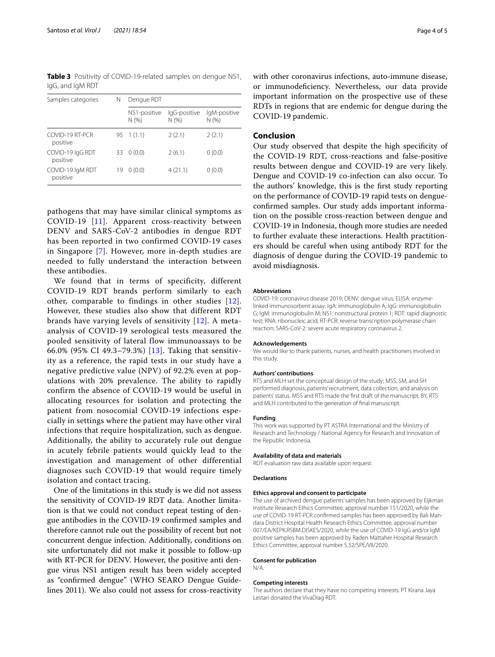<span id="page-3-0"></span>**Table 3** Positivity of COVID-19-related samples on dengue NS1, IgG, and IgM RDT

| N   | Dengue RDT            |                       |                     |  |
|-----|-----------------------|-----------------------|---------------------|--|
|     | NS1-positive<br>N(% ) | IgG-positive<br>N(% ) | IgM-positive<br>N(% |  |
| 95. |                       | 2(2.1)                | 2(2.1)              |  |
| 33  | 0(0.0)                | 2(6.1)                | 0(0.0)              |  |
| 19  | 0(0.0)                | 4(21.1)               | 0(0.0)              |  |
|     |                       | 1(1.1)                |                     |  |

pathogens that may have similar clinical symptoms as COVID-19 [\[11\]](#page-4-10). Apparent cross-reactivity between DENV and SARS-CoV-2 antibodies in dengue RDT has been reported in two confirmed COVID-19 cases in Singapore [[7\]](#page-4-6). However, more in-depth studies are needed to fully understand the interaction between these antibodies.

We found that in terms of specificity, different COVID-19 RDT brands perform similarly to each other, comparable to findings in other studies [[12\]](#page-4-11). However, these studies also show that different RDT brands have varying levels of sensitivity [[12](#page-4-11)]. A metaanalysis of COVID-19 serological tests measured the pooled sensitivity of lateral flow immunoassays to be 66.0% (95% CI 49.3–79.3%) [[13](#page-4-12)]. Taking that sensitivity as a reference, the rapid tests in our study have a negative predictive value (NPV) of 92.2% even at populations with 20% prevalence. The ability to rapidly confirm the absence of COVID-19 would be useful in allocating resources for isolation and protecting the patient from nosocomial COVID-19 infections especially in settings where the patient may have other viral infections that require hospitalization, such as dengue. Additionally, the ability to accurately rule out dengue in acutely febrile patients would quickly lead to the investigation and management of other differential diagnoses such COVID-19 that would require timely isolation and contact tracing.

One of the limitations in this study is we did not assess the sensitivity of COVID-19 RDT data. Another limitation is that we could not conduct repeat testing of dengue antibodies in the COVID-19 confrmed samples and therefore cannot rule out the possibility of recent but not concurrent dengue infection. Additionally, conditions on site unfortunately did not make it possible to follow-up with RT-PCR for DENV. However, the positive anti dengue virus NS1 antigen result has been widely accepted as "confrmed dengue" (WHO SEARO Dengue Guidelines 2011). We also could not assess for cross-reactivity

with other coronavirus infections, auto-immune disease, or immunodefciency. Nevertheless, our data provide important information on the prospective use of these RDTs in regions that are endemic for dengue during the COVID-19 pandemic.

## **Conclusion**

Our study observed that despite the high specifcity of the COVID-19 RDT, cross-reactions and false-positive results between dengue and COVID-19 are very likely. Dengue and COVID-19 co-infection can also occur. To the authors' knowledge, this is the frst study reporting on the performance of COVID-19 rapid tests on dengueconfrmed samples. Our study adds important information on the possible cross-reaction between dengue and COVID-19 in Indonesia, though more studies are needed to further evaluate these interactions. Health practitioners should be careful when using antibody RDT for the diagnosis of dengue during the COVID-19 pandemic to avoid misdiagnosis.

#### **Abbreviations**

COVID-19: coronavirus disease 2019; DENV: dengue virus; ELISA: enzymelinked immunosorbent assay; IgA: immunoglobulin A; IgG: immunoglobulin G; IgM: immunoglobulin M; NS1: nonstructural protein 1; RDT: rapid diagnostic test; RNA: ribonucleic acid; RT-PCR: reverse transcription polymerase chain reaction; SARS-CoV-2: severe acute respiratory coronavirus 2.

#### **Acknowledgements**

We would like to thank patients, nurses, and health practitioners involved in this study.

#### **Authors' contributions**

RTS and MLH set the conceptual design of the study; MSS, SM, and SH performed diagnosis, patients' recruitment, data collection, and analysis on patients' status. MSS and RTS made the frst draft of the manuscript; BY, RTS and MLH contributed to the generation of fnal manuscript.

#### **Funding**

This work was supported by PT ASTRA International and the Ministry of Research and Technology / National Agency for Research and Innovation of the Republic Indonesia.

#### **Availability of data and materials**

RDT evaluation raw data available upon request.

#### **Declarations**

#### **Ethics approval and consent to participate**

The use of archived dengue patients' samples has been approved by Eijkman Institute Research Ethics Committee, approval number 151/2020, while the use of COVID-19 RT-PCR confrmed samples has been approved by Bali Mandara District Hospital Health Research Ethics Committee, approval number 007/EA/KEPK.RSBM.DISKES/2020, while the use of COVID-19 IgG and/or IgM positive samples has been approved by Raden Mattaher Hospital Research Ethics Committee, approval number S.32/SPE/VII/2020.

#### **Consent for publication**

N/A.

#### **Competing interests**

The authors declare that they have no competing interests. PT Kirana Jaya Lestari donated the VivaDiag RDT.